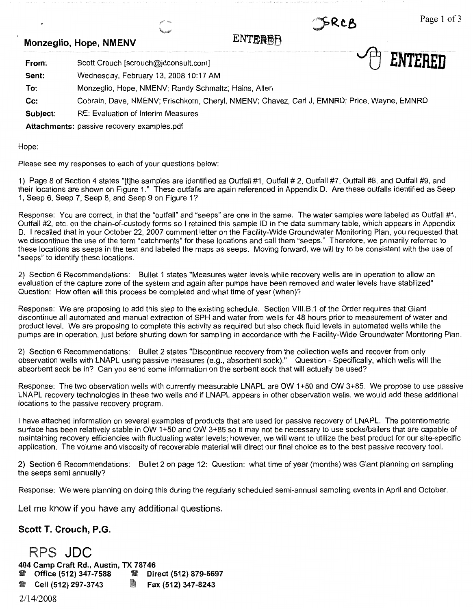5RCB

~ **ENTERED** 

# **Monzeglio, Hope, NMENV ENTEREER**

**From:**  Scott Crouch [scrouch@jdconsult.com]

**Sent:**  Wednesday, February 13, 2008 10:17 AM

**To:**  Monzeglio, Hope, NMENV; Randy Schmaltz; Hains, Allen

**Cc:** Cobrain, Dave, NMENV; Frischkorn, Cheryl, NMENV; Chavez, Carl J, EMNRD; Price, Wayne, EMNRD

**Subject:** RE: Evaluation of Interim Measures

**Attachments:** passive recovery examples.pdf

Hope:

Please see my responses to each of your questions below:

1) Page 8 of Section 4 states "[t]he samples are identified as Outfall #1, Outfall# 2, Outfall #7, Outfall #8, and Outfall #9, and their locations are shown on Figure 1." These outfalls are again referenced in Appendix D. Are these outfalls identified as Seep 1, Seep 6, Seep 7, Seep 8, and Seep 9 on Figure 1?

Response: You are correct, in that the "outfall" and "seeps" are one in the same. The water samples were labeled as Outfall #1, Outfall #2, etc. on the chain-of-custody forms so I retained this sample ID in the data summary table, which appears in Appendix D. I recalled that in your October 22, 2007 comment letter on the Facility-Wide Groundwater Monitoring Plan, you requested that we discontinue the use of the term "catchments" for these locations and call them "seeps." Therefore, we primarily referred to these locations as seeps in the text and labeled the maps as seeps. Moving forward, we will try to be consistent with the use of "seeps" to identify these locations.

2) Section 6 Recommendations: Bullet 1 states "Measures water levels while recovery wells are in operation to allow an evaluation of the capture zone of the system and again after pumps have been removed and water levels have stabilized" Question: How often will this process be completed and what time of year (when)?

Response: We are proposing to add this step to the existing schedule. Section Vlll.B.1 of the Order requires that Giant discontinue all automated and manual extraction of SPH and water from wells for 48 hours prior to measurement of water and product level. We are proposing to complete this activity as required but also check fluid levels in automated wells while the pumps are in operation, just before shutting down for sampling in accordance with the Facility-Wide Groundwater Monitoring Plan.

2) Section 6 Recommendations: Bullet 2 states "Discontinue recovery from the collection wells and recover from only observation wells with LNAPL using passive measures (e.g., absorbent sock)." Question - Specifically, which wells will the absorbent sock be in? Can you send some information on the sorbent sock that will actually be used?

Response: The two observation wells with currently measurable LNAPL are OW 1+50 and OW 3+85. We propose to use passive LNAPL recovery technologies in these two wells and if LNAPL appears in other observation wells, we would add these additional locations to the passive recovery program.

I have attached information on several examples of products that are used for passive recovery of LNAPL. The potentiometric surface has been relatively stable in OW 1+50 and OW 3+85 so it may not be necessary to use socks/bailers that are capable of maintaining recovery efficiencies with fluctuating water levels; however, we will want to utilize the best product for our site-specific application. The volume and viscosity of recoverable material will direct our final choice as to the best passive recovery tool.

2) Section 6 Recommendations: Bullet 2 on page 12: Question: what time of year (months) was Giant planning on sampling the seeps semi annually?

Response: We were planning on doing this during the regularly scheduled semi-annual sampling events in April and October.

Let me know if you have any additional questions.

**Scott T. Crouch, P.G.** 

RPS **JDC 404 Camp Craft Rd., Austin, TX 78746**  'ii **Office (512) 347-7588** 'ii **Direct (512) 879-6697**  'ii **Cell (512) 297-3743** ~ **Fax (512) 347-8243** 

2/14/2008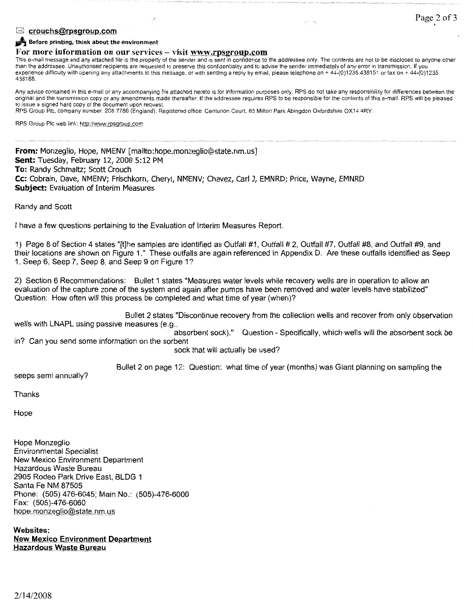# ■ **Page 2 of 3 Page 2 of 3**

#### **Jim Before printing, think about the environment**

### For more information on our services – visit www.rpsgroup.com

This e-mail message and any attached file is the property of the sender and is sent in confidence to the addressee only. The contents are not to be disclosed to anyone other than the addressee. Unauthorised recipients are requested to preserve this confidentiality and to advise the sender immediately of any error in transmission. If you experience difficulty with opening any attachments to this message, or with sending a reply by email, please telephone on + 44-(0)1235 438151 or fax on + 44-(0)1235 438188.

Any advice contained in this e-mail or any accompanying file attached hereto is for information purposes only. RPS do not take any responsibility for differences between the original and the transmission copy or any amendments made thereafter. If the addressee requires RPS to be responsible for the contents of this e-mail, RPS will be pleased to issue a signed hard copy of the document upon request.

RPS Group Pie, company number: 208 7786 (England). Registered office: Centurion Court, 85 Milton Park Abingdon Oxfordshire OX14 4RY.

RPS Group Pie web link: http://www.rpsgroup.com

**From:** Monzeglio, Hope, NMENV [mailto:hope.monzeglio@state.nm.us] **Sent:** Tuesday, February 12, 2008 5:12 PM **To:** Randy Schmaltz; Scott Crouch **Cc:** Cobrain, Dave, NMENV; Frischkorn, Cheryl, NMENV; Chavez, earl J, EMNRD; Price, Wayne, EMNRD **Subject:** Evaluation of Interim Measures

Randy and Scott

I have a few questions pertaining to the Evaluation of Interim Measures Report.

1) Page 8 of Section 4 states "[t]he samples are identified as Outfall #1, Outfall #2, Outfall #7, Outfall #8, and Outfall #9, and their locations are shown on Figure 1." These outfalls are again referenced in Appendix D. Are these outfalls identified as Seep 1 , Seep 6, Seep 7, Seep 8, and Seep 9 on Figure 1?

2) Section 6 Recommendations: Bullet 1 states "Measures water levels while recovery wells are in operation to allow an evaluation of the capture zone of the system and again after pumps have been removed and water levels have stabilized" Question: How often will this process be completed and what time of year (when)?

Bullet 2 states "Discontinue recovery from the collection wells and recover from only observation wells with LNAPL using passive measures (e.g.

absorbent sock)." Question - Specifically, which wells will the absorbent sock be in? Can you send some information on the sorbent

sock that will actually be used?

Bullet 2 on page 12: Question: what time of year (months) was Giant planning on sampling the

seeps semi annually?

**Thanks** 

Hope

Hope Monzeglio Environmental Specialist New Mexico Environment Department Hazardous Waste Bureau 2905 Rodeo Park Drive East, BLDG 1 Santa Fe NM 87505 Phone: (505) 476-6045; Main No.: (505)-476-6000 Fax: (505)-476-6060 hope.monzeglio@state.nm.us

**Websites: New Mexico Environment Department Hazardous Waste Bureau**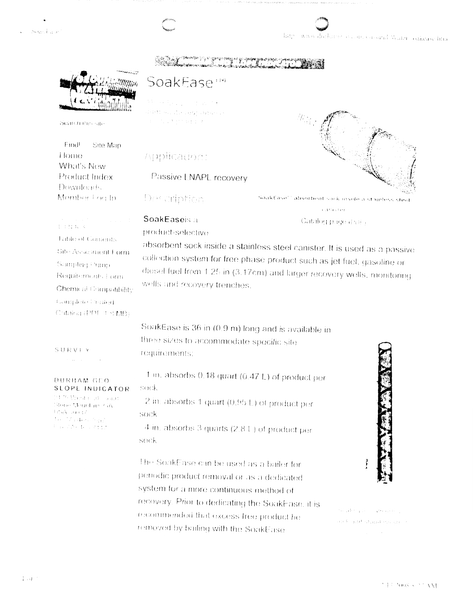Soart air

large www.durlarge.org.com/condit&uter-concusciting

ramanya yi sareya<br>waxa waxaaladaha



Search this iste

Find Site Man Home What's New Product Index Downloads Member Log In

## SoakEase<sup>119</sup>

e televizioni di Willia PROSecutor 1957 Database The process parallel

## Application:

Passive LNAPL recovery

wells and recovery trenches.

Des cription

SoakEase"" absorbent sock inside a stainless steel  $\left\{ \pm 12.11\right\} \lesssim L_{\rm F}$  er

## SoakEaseis a

product-selective

Catalog p. ige dalla absorbent sock inside a stainless steel canister. It is used as a passive collection system for free phase product such as jet fuel, gasoline or

**LENKS Table of Contents** Site Assesment Form Sumpling Pump. Requirements Form. Chemical Compatibility Complete Prested Cabilog (PDF 1.8 MB)

SURVEY

**DURHAM GEO** SLOPE INDICATOR

mas di EbelW<sup>an</sup> ti Storie Magniture GA TrisyX sure of Z da Madas Bar<br>Californi 2007

SoakEase is 36 in (0.9 m) long and is available in

diesel fuel from 1.25 in (3.17cm) and larger recovery wells, monitoring

three sizes to accommodate specific site requirements:

sock 2 in. absorbs 1 quart (0.95 L) of product per sock

1 in. absorbs 0.18 quart (0.47 L) of product per

4 in. absorbs 3 quarts (2.8 L) of product per sock

The SoakEase can be used as a bailer for periodic product removal or as a dedicated system for a more continuous method of recovery. Prior to dedicating the SoakEase, it is recommended that excess free product be removed by bailing with the SoakEase



فالبري ويحافر رزينه فريز القاررت

## إكفيتمعها كالترو خلاق سد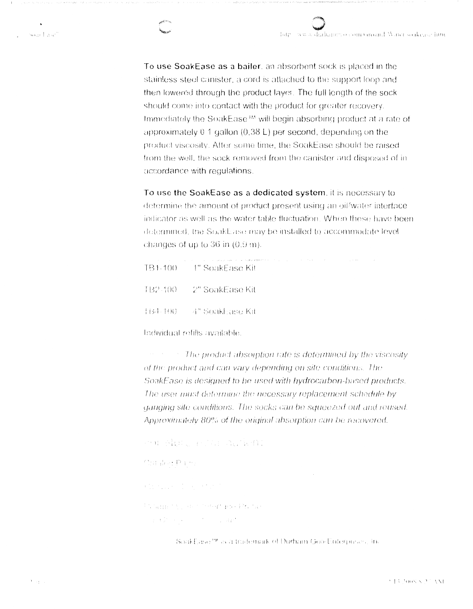To use SoakEase as a bailer, an absorbent sock is placed in the stainless steel canister, a cord is attached to the support loop and then lowered through the product layer. The full length of the sock should come into contact with the product for greater recovery. Immediately the SoakEase<sup>1M</sup> will begin absorbing product at a rate of approximately  $0.1$  gallon (0.38 L) per second, depending on the product viscosity. After some time, the SoakEase should be raised from the well, the sock removed from the canister and disposed of inaccordance with regulations.

To use the SoakEase as a dedicated system, it is necessary to determine the amount of product present using an oil/water interface indicator as well as the water table fluctuation. When these have been determined, the SoakEase may be installed to accommodate level changes of up to  $36$  in  $(0.9 \text{ m})$ .

| ,我们也不会不会不会不会不会不会不会。""我们,我们的人,我们也不会不会不会不会。""我们,我们的人,我们的人,我们的人,我们的人,我们的人,我们的人,我们的人<br>TB1-100 — 1" SoakEase Kit |  |
|---------------------------------------------------------------------------------------------------------------|--|
| TB2-100 — 2" SoakEase Kit                                                                                     |  |
| -H54-400 — 4" Soakhase Kit                                                                                    |  |

Individual refills available.

The product absorption rate is determined by the viscosity of the product and can vary depending on site conditions. The SoakEase is designed to be used with hydrocarbon-based products. The user must determine the necessary replacement schedule by gauging site conditions. The socks can be squeezed out and reused. Approximately 80% of the original absorption can be recovered.

```
en Adul Fill Aufen:
Outside: Parks
Chance Ingertal
Photograph Collection Contemporar Professor
 and the common community.
```
SoakEase<sup>ry</sup> is a trademark of Durham Geo-Enterpreses, in-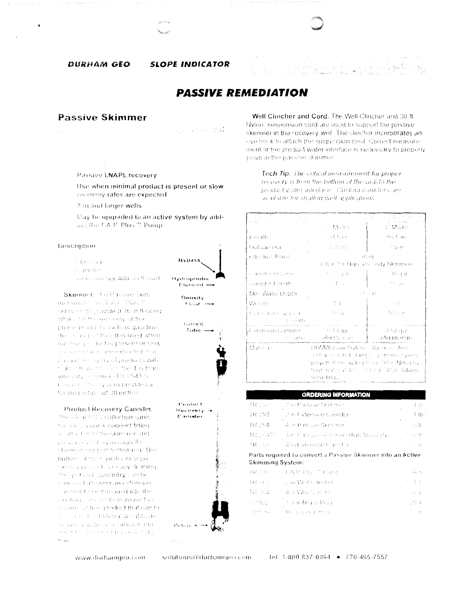#### DURHAM GEO

**SLOPE INDICATOR** 

## **PASSIVE REMEDIATION**

## **Passive Skimmer**

san kacamat

Passive LNAPL recovery

Use when minimal product is present or slow recovery rates are expected

2 in and larger wells

May be upgraded to an active system by addling the E.A.P. Phis <sup>or</sup> Pump.

#### Description

- Calebraren
- **Carriston**
- seekil sara ber with 30 ft dord

Skimmer, The Passive Skim mer and 200 do, FAT Plan 8 icknowledge provide a 36 in floating intake for the removery of tree. phone provididits raich as gascline the colorado their It is used when minimal profited is present or slow the community in about the composition of the definition This need those my of products with major disas security the 4 in homviscosity secondo (19, 254 h). is near to be a system provides a Kenting eitake of 30 inches.

#### **Product Recovery Canister.**

The clear PVC collection canisthe assistantials connect filting. no attach is to the skipmer and procedure visiting directificties skipmer support hollow net. The bottom of their anister incorpocates a personal for easy draming The period casembly can be removed allegang an extension asister to be threaded into the on direct any step to increase the solemne of their product that can be service reduced for mail wealthy are in last a price actividinated and sources are prepared to the pub- $\mathbf{r}_{12,31,3}$ 

**Hypass** Hydrophabic Flamont -

Density

 $F \cup_{x \in \mathbb{R}} f$  = stored Tube -Product Recovery Conister identicas

Well Clincher and Cord. The Well Clincher and 30 ft Nylon<sup>3</sup> suspension cord are used to support the passive skirnmer in the recovery well. The clincher incorporates an eve book to attach the suspension cord. Correct measurement of the product water interface is necessary to properly position the passeve skimmer.

Tech Tip. The critical measurement for proper recovery is from the bottom of the well to the product water interface. Custom canisters are available for straffow well applications.

| $\sim$<br>4<br>. al III de la             |                                              | 的复数第二段                                                                                                                              |  |  |
|-------------------------------------------|----------------------------------------------|-------------------------------------------------------------------------------------------------------------------------------------|--|--|
|                                           | 2012/06/04                                   | <b>A. Madel</b>                                                                                                                     |  |  |
| Length                                    | 行李无利                                         | 9.5 E.m                                                                                                                             |  |  |
| Outside Ena                               | di Story.                                    | -1 ban                                                                                                                              |  |  |
| r theotive Travel                         |                                              | 36 m                                                                                                                                |  |  |
|                                           | (30 in the High Viscosity Skimmer)           |                                                                                                                                     |  |  |
| cumester Venume                           | 大学中国                                         | - 46 ani                                                                                                                            |  |  |
| s Sanister Length                         | n de la                                      | - Maluti                                                                                                                            |  |  |
| Min. Water Depm                           |                                              | P. an                                                                                                                               |  |  |
| We crist                                  | t p                                          | $\sim$ $\sim$                                                                                                                       |  |  |
| ਤੋਂ ਕੁੱਦ ਸਾਂ ਜਾਂਦਰ ਦੇ ਜਿਸਦੇ ਹੱਦਰ<br>icath | ੀ ਨਾ ਰਹ                                      | 76 S.B                                                                                                                              |  |  |
| E dension Ganister<br>An express          | - 88 P.B. HAD<br>sAektstaanats               | 3) 52 a.d<br>rAdentionali                                                                                                           |  |  |
| Mibitary.                                 | UHMW paivetrylene stacers store<br>medicinas | modowick is medicine por simple the speed<br>powethylers hivdrophiscal fiber Nitroglav.<br>Moat maser al lora (c'honor −lPVC tubang |  |  |

| <b>ORDERING INFORMATION</b> |                                          |            |  |
|-----------------------------|------------------------------------------|------------|--|
| iratsi                      | ਵੇਂ 10 ਪਿਤਲਜ਼ ਮਦ ਇੰਗਾਸ ਸਬੰ <sup>ਗ</sup>  | र्व देश    |  |
| IR 253.                     | ⊋ in Fixtension Canister                 | i ib -     |  |
| ER 254                      | 4 in Pasuce Skeimer                      | ÷,  t -    |  |
| HC 20411                    | idim Pilipsus oli merematlaris Vracasty. | <b>ローけ</b> |  |
| t Richte                    | 4 million son Carriba                    | . 31       |  |

Parts required to convert a Passive Skimmer into an Active **Skimming System:** 

| ER SIH  | of Administration of the angle | $+1 - 7 +$ |
|---------|--------------------------------|------------|
| iku z   | ⇒ an Výeil Clara red           | 中間         |
| IR 34.  | of an Mike Council and         | 로로         |
| 小时光儿    | 7. Den Brand Philip            | udhan      |
| 3311.H) | <b>Police of Fitting</b>       | the con-   |

www.durhaingeo.com

solutions@durhamgeo.com

 $\{s_{i+1}^k\}$